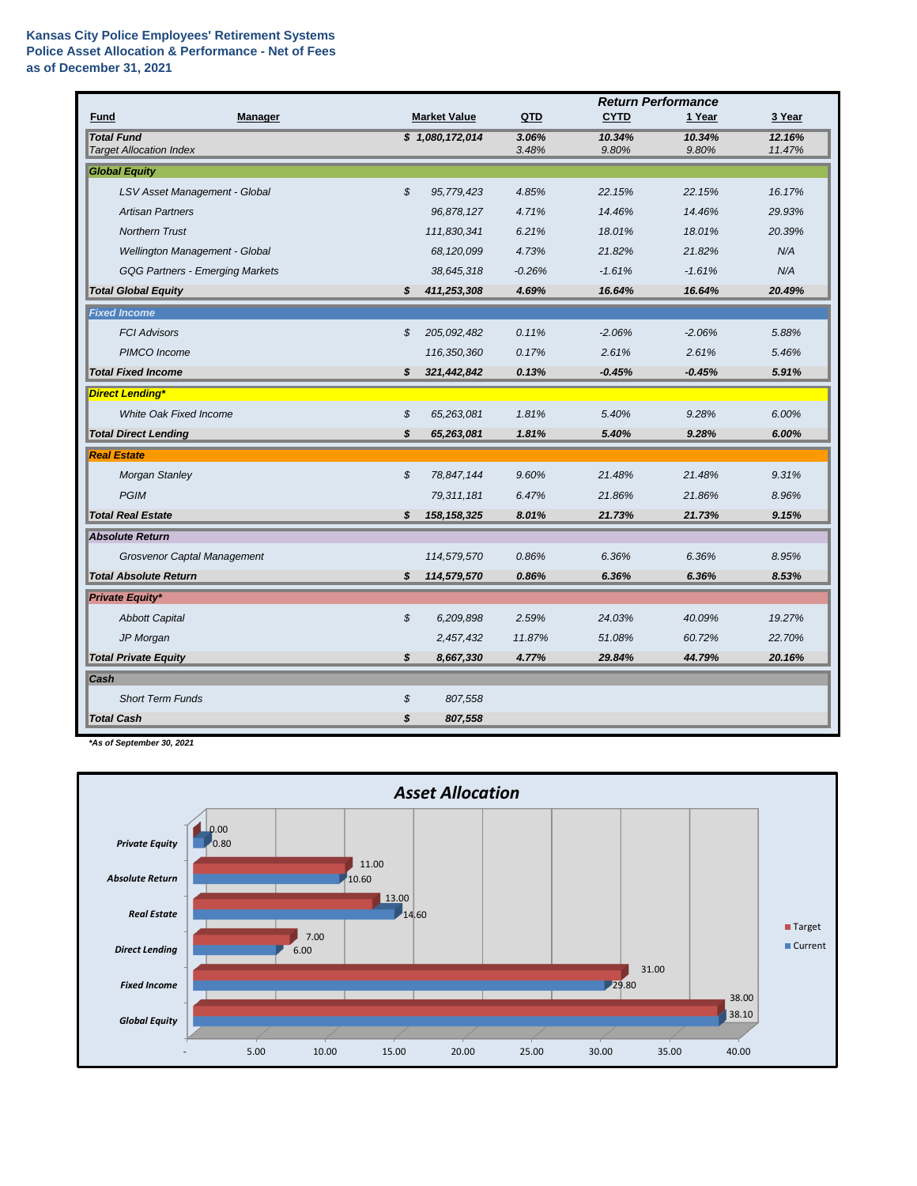## **Kansas City Police Employees' Retirement Systems Police Asset Allocation & Performance - Net of Fees as of December 31, 2021**

|                                                     |    |                     |                | <b>Return Performance</b> |                 |                  |
|-----------------------------------------------------|----|---------------------|----------------|---------------------------|-----------------|------------------|
| Fund<br>Manager                                     |    | <b>Market Value</b> | QTD            | <b>CYTD</b>               | 1 Year          | 3 Year           |
| <b>Total Fund</b><br><b>Target Allocation Index</b> |    | \$1,080,172,014     | 3.06%<br>3.48% | 10.34%<br>9.80%           | 10.34%<br>9.80% | 12.16%<br>11.47% |
| <b>Global Equity</b>                                |    |                     |                |                           |                 |                  |
| LSV Asset Management - Global                       | \$ | 95,779,423          | 4.85%          | 22.15%                    | 22.15%          | 16.17%           |
| <b>Artisan Partners</b>                             |    | 96,878,127          | 4.71%          | 14.46%                    | 14.46%          | 29.93%           |
| <b>Northern Trust</b>                               |    | 111,830,341         | 6.21%          | 18.01%                    | 18.01%          | 20.39%           |
| Wellington Management - Global                      |    | 68,120,099          | 4.73%          | 21.82%                    | 21.82%          | N/A              |
| <b>GQG Partners - Emerging Markets</b>              |    | 38,645,318          | $-0.26%$       | $-1.61%$                  | $-1.61%$        | N/A              |
| <b>Total Global Equity</b>                          | \$ | 411,253,308         | 4.69%          | 16.64%                    | 16.64%          | 20.49%           |
| <b>Fixed Income</b>                                 |    |                     |                |                           |                 |                  |
| <b>FCI Advisors</b>                                 | \$ | 205,092,482         | 0.11%          | $-2.06%$                  | $-2.06%$        | 5.88%            |
| PIMCO Income                                        |    | 116,350,360         | 0.17%          | 2.61%                     | 2.61%           | 5.46%            |
| <b>Total Fixed Income</b>                           | s  | 321,442,842         | 0.13%          | $-0.45%$                  | $-0.45%$        | 5.91%            |
|                                                     |    |                     |                |                           |                 |                  |
| <b>Direct Lending*</b>                              |    |                     |                |                           |                 |                  |
| White Oak Fixed Income                              | \$ | 65,263,081          | 1.81%          | 5.40%                     | 9.28%           | 6.00%            |
| <b>Total Direct Lending</b>                         | \$ | 65,263,081          | 1.81%          | 5.40%                     | 9.28%           | 6.00%            |
| <b>Real Estate</b>                                  |    |                     |                |                           |                 |                  |
| <b>Morgan Stanley</b>                               | \$ | 78,847,144          | 9.60%          | 21.48%                    | 21.48%          | 9.31%            |
| <b>PGIM</b>                                         |    | 79, 311, 181        | 6.47%          | 21.86%                    | 21.86%          | 8.96%            |
| <b>Total Real Estate</b>                            | \$ | 158, 158, 325       | 8.01%          | 21.73%                    | 21.73%          | 9.15%            |
| <b>Absolute Return</b>                              |    |                     |                |                           |                 |                  |
| <b>Grosvenor Captal Management</b>                  |    | 114,579,570         | 0.86%          | 6.36%                     | 6.36%           | 8.95%            |
| <b>Total Absolute Return</b>                        | \$ | 114,579,570         | 0.86%          | 6.36%                     | 6.36%           | 8.53%            |
| <b>Private Equity*</b>                              |    |                     |                |                           |                 |                  |
| <b>Abbott Capital</b>                               | \$ | 6,209,898           | 2.59%          | 24.03%                    | 40.09%          | 19.27%           |
| JP Morgan                                           |    | 2,457,432           | 11.87%         | 51.08%                    | 60.72%          | 22.70%           |
| <b>Total Private Equity</b>                         | \$ | 8,667,330           | 4.77%          | 29.84%                    | 44.79%          | 20.16%           |
| Cash                                                |    |                     |                |                           |                 |                  |
| <b>Short Term Funds</b>                             | \$ | 807,558             |                |                           |                 |                  |
| <b>Total Cash</b>                                   | \$ | 807,558             |                |                           |                 |                  |

*\*As of September 30, 2021*